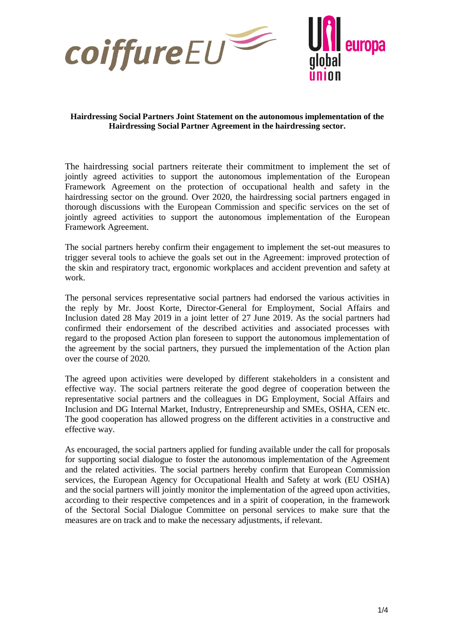

## **Hairdressing Social Partners Joint Statement on the autonomous implementation of the Hairdressing Social Partner Agreement in the hairdressing sector.**

The hairdressing social partners reiterate their commitment to implement the set of jointly agreed activities to support the autonomous implementation of the European Framework Agreement on the protection of occupational health and safety in the hairdressing sector on the ground. Over 2020, the hairdressing social partners engaged in thorough discussions with the European Commission and specific services on the set of jointly agreed activities to support the autonomous implementation of the European Framework Agreement.

The social partners hereby confirm their engagement to implement the set-out measures to trigger several tools to achieve the goals set out in the Agreement: improved protection of the skin and respiratory tract, ergonomic workplaces and accident prevention and safety at work.

The personal services representative social partners had endorsed the various activities in the reply by Mr. Joost Korte, Director-General for Employment, Social Affairs and Inclusion dated 28 May 2019 in a joint letter of 27 June 2019. As the social partners had confirmed their endorsement of the described activities and associated processes with regard to the proposed Action plan foreseen to support the autonomous implementation of the agreement by the social partners, they pursued the implementation of the Action plan over the course of 2020.

The agreed upon activities were developed by different stakeholders in a consistent and effective way. The social partners reiterate the good degree of cooperation between the representative social partners and the colleagues in DG Employment, Social Affairs and Inclusion and DG Internal Market, Industry, Entrepreneurship and SMEs, OSHA, CEN etc. The good cooperation has allowed progress on the different activities in a constructive and effective way.

As encouraged, the social partners applied for funding available under the call for proposals for supporting social dialogue to foster the autonomous implementation of the Agreement and the related activities. The social partners hereby confirm that European Commission services, the European Agency for Occupational Health and Safety at work (EU OSHA) and the social partners will jointly monitor the implementation of the agreed upon activities, according to their respective competences and in a spirit of cooperation, in the framework of the Sectoral Social Dialogue Committee on personal services to make sure that the measures are on track and to make the necessary adjustments, if relevant.

europa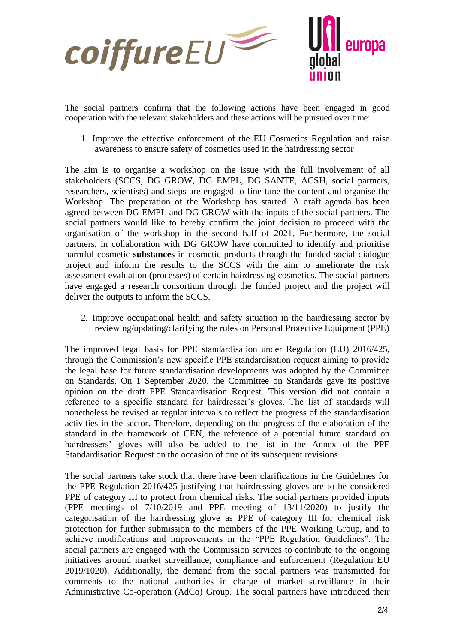

The social partners confirm that the following actions have been engaged in good cooperation with the relevant stakeholders and these actions will be pursued over time:

1. Improve the effective enforcement of the EU Cosmetics Regulation and raise awareness to ensure safety of cosmetics used in the hairdressing sector

The aim is to organise a workshop on the issue with the full involvement of all stakeholders (SCCS, DG GROW, DG EMPL, DG SANTE, ACSH, social partners, researchers, scientists) and steps are engaged to fine-tune the content and organise the Workshop. The preparation of the Workshop has started. A draft agenda has been agreed between DG EMPL and DG GROW with the inputs of the social partners. The social partners would like to hereby confirm the joint decision to proceed with the organisation of the workshop in the second half of 2021. Furthermore, the social partners, in collaboration with DG GROW have committed to identify and prioritise harmful cosmetic **substances** in cosmetic products through the funded social dialogue project and inform the results to the SCCS with the aim to ameliorate the risk assessment evaluation (processes) of certain hairdressing cosmetics. The social partners have engaged a research consortium through the funded project and the project will deliver the outputs to inform the SCCS.

2. Improve occupational health and safety situation in the hairdressing sector by reviewing/updating/clarifying the rules on Personal Protective Equipment (PPE)

The improved legal basis for PPE standardisation under Regulation (EU) 2016/425, through the Commission's new specific PPE standardisation request aiming to provide the legal base for future standardisation developments was adopted by the Committee on Standards. On 1 September 2020, the Committee on Standards gave its positive opinion on the draft PPE Standardisation Request. This version did not contain a reference to a specific standard for hairdresser's gloves. The list of standards will nonetheless be revised at regular intervals to reflect the progress of the standardisation activities in the sector. Therefore, depending on the progress of the elaboration of the standard in the framework of CEN, the reference of a potential future standard on hairdressers' gloves will also be added to the list in the Annex of the PPE Standardisation Request on the occasion of one of its subsequent revisions.

The social partners take stock that there have been clarifications in the Guidelines for the PPE Regulation 2016/425 justifying that hairdressing gloves are to be considered PPE of category III to protect from chemical risks. The social partners provided inputs (PPE meetings of 7/10/2019 and PPE meeting of 13/11/2020) to justify the categorisation of the hairdressing glove as PPE of category III for chemical risk protection for further submission to the members of the PPE Working Group, and to achieve modifications and improvements in the "PPE Regulation Guidelines". The social partners are engaged with the Commission services to contribute to the ongoing initiatives around market surveillance, compliance and enforcement (Regulation EU 2019/1020). Additionally, the demand from the social partners was transmitted for comments to the national authorities in charge of market surveillance in their Administrative Co-operation (AdCo) Group. The social partners have introduced their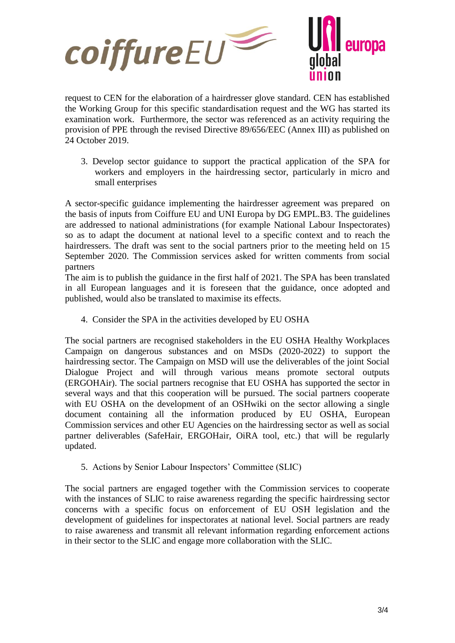

request to CEN for the elaboration of a hairdresser glove standard. CEN has established the Working Group for this specific standardisation request and the WG has started its examination work. Furthermore, the sector was referenced as an activity requiring the provision of PPE through the revised Directive 89/656/EEC (Annex III) as published on 24 October 2019.

3. Develop sector guidance to support the practical application of the SPA for workers and employers in the hairdressing sector, particularly in micro and small enterprises

A sector-specific guidance implementing the hairdresser agreement was prepared on the basis of inputs from Coiffure EU and UNI Europa by DG EMPL.B3. The guidelines are addressed to national administrations (for example National Labour Inspectorates) so as to adapt the document at national level to a specific context and to reach the hairdressers. The draft was sent to the social partners prior to the meeting held on 15 September 2020. The Commission services asked for written comments from social partners

The aim is to publish the guidance in the first half of 2021. The SPA has been translated in all European languages and it is foreseen that the guidance, once adopted and published, would also be translated to maximise its effects.

4. Consider the SPA in the activities developed by EU OSHA

The social partners are recognised stakeholders in the EU OSHA Healthy Workplaces Campaign on dangerous substances and on MSDs (2020-2022) to support the hairdressing sector. The Campaign on MSD will use the deliverables of the joint Social Dialogue Project and will through various means promote sectoral outputs (ERGOHAir). The social partners recognise that EU OSHA has supported the sector in several ways and that this cooperation will be pursued. The social partners cooperate with EU OSHA on the development of an OSHwiki on the sector allowing a single document containing all the information produced by EU OSHA, European Commission services and other EU Agencies on the hairdressing sector as well as social partner deliverables (SafeHair, ERGOHair, OiRA tool, etc.) that will be regularly updated.

5. Actions by Senior Labour Inspectors' Committee (SLIC)

The social partners are engaged together with the Commission services to cooperate with the instances of SLIC to raise awareness regarding the specific hairdressing sector concerns with a specific focus on enforcement of EU OSH legislation and the development of guidelines for inspectorates at national level. Social partners are ready to raise awareness and transmit all relevant information regarding enforcement actions in their sector to the SLIC and engage more collaboration with the SLIC.